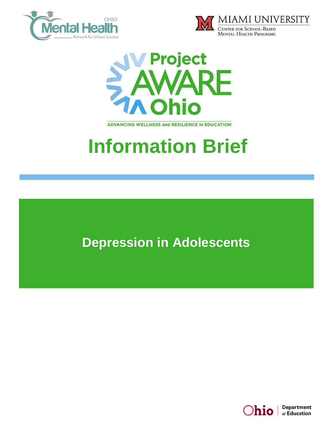





**ADVANCING WELLNESS and RESILIENCE In EDUCATION** 

# **Information Brief**

**Depression in Adolescents**

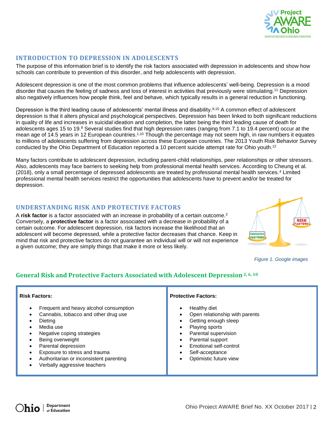

# **INTRODUCTION TO DEPRESSION IN ADOLESCENTS**

The purpose of this information brief is to identify the risk factors associated with depression in adolescents and show how schools can contribute to prevention of this disorder, and help adolescents with depression.

Adolescent depression is one of the most common problems that influence adolescents' well-being. Depression is a mood disorder that causes the feeling of sadness and loss of interest in activities that previously were stimulating.<sup>11</sup> Depression also negatively influences how people think, feel and behave, which typically results in a general reduction in functioning.

Depression is the third leading cause of adolescents' mental illness and disability.<sup>8,15</sup> A common effect of adolescent depression is that it alters physical and psychological perspectives. Depression has been linked to both significant reductions in quality of life and increases in suicidal ideation and completion, the latter being the third leading cause of death for adolescents ages 15 to 19.<sup>8</sup> Several studies find that high depression rates (ranging from 7.1 to 19.4 percent) occur at the mean age of 14.5 years in 12 European countries.<sup>1,10</sup> Though the percentage may not seem high, in raw numbers it equates to millions of adolescents suffering from depression across these European countries. The 2013 Youth Risk Behavior Survey conducted by the Ohio Department of Education reported a 10 percent suicide attempt rate for Ohio youth.<sup>12</sup>

Many factors contribute to adolescent depression, including parent-child relationships, peer relationships or other stressors. Also, adolescents may face barriers to seeking help from professional mental health services. According to Cheung et al. (2018), only a small percentage of depressed adolescents are treated by professional mental health services.<sup>4</sup> Limited professional mental health services restrict the opportunities that adolescents have to prevent and/or be treated for depression.

#### **UNDERSTANDING RISK AND PROTECTIVE FACTORS**

A **risk factor** is a factor associated with an increase in probability of a certain outcome.<sup>2</sup> Conversely, a **protective factor** is a factor associated with a decrease in probability of a certain outcome. For adolescent depression, risk factors increase the likelihood that an adolescent will become depressed, while a protective factor decreases that chance. Keep in mind that risk and protective factors do not guarantee an individual will or will not experience a given outcome; they are simply things that make it more or less likely.



*Figure 1. Google images*

# **General Risk and Protective Factors Associated with Adolescent Depression2, 6, <sup>10</sup>**

| <b>Risk Factors:</b>                                                                                                                                                                                                                                                                                                                                          | <b>Protective Factors:</b>                                                                                                                                                                                  |
|---------------------------------------------------------------------------------------------------------------------------------------------------------------------------------------------------------------------------------------------------------------------------------------------------------------------------------------------------------------|-------------------------------------------------------------------------------------------------------------------------------------------------------------------------------------------------------------|
| Frequent and heavy alcohol consumption<br>$\bullet$<br>Cannabis, tobacco and other drug use<br>Dietina<br>Media use<br>Negative coping strategies<br>$\bullet$<br>Being overweight<br>Parental depression<br>$\bullet$<br>Exposure to stress and trauma<br>Authoritarian or inconsistent parenting<br>$\bullet$<br>Verbally aggressive teachers<br>$\epsilon$ | Healthy diet<br>Open relationship with parents<br>Getting enough sleep<br>Playing sports<br>Parental supervision<br>Parental support<br>Emotional self-control<br>Self-acceptance<br>Optimistic future view |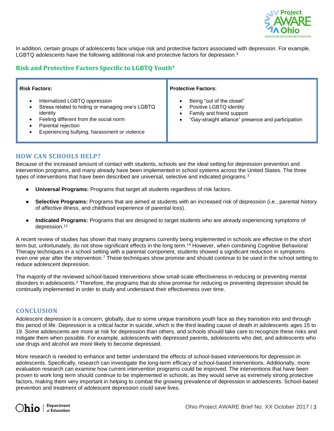

In addition, certain groups of adolescents face unique risk and protective factors associated with depression. For example, LGBTQ adolescents have the following additional risk and protective factors for depression.<sup>9</sup>

# **Risk and Protective Factors Specific to LGBTQ Youth<sup>9</sup>**

| <b>Risk Factors:</b>                                                                                                                                                                                                        | <b>Protective Factors:</b>                                                                                                              |
|-----------------------------------------------------------------------------------------------------------------------------------------------------------------------------------------------------------------------------|-----------------------------------------------------------------------------------------------------------------------------------------|
| Internalized LGBTQ oppression<br>$\bullet$<br>Stress related to hiding or managing one's LGBTQ<br>identity<br>Feeling different from the social norm<br>Parental rejection<br>Experiencing bullying, harassment or violence | Being "out of the closet"<br>Positive LGBTQ identity<br>Family and friend support<br>"Gay-straight alliance" presence and participation |

#### **HOW CAN SCHOOLS HELP?**

Because of the increased amount of contact with students, schools are the ideal setting for depression prevention and intervention programs, and many already have been implemented in school systems across the United States. The three types of interventions that have been described are universal, selective and indicated programs.<sup>3</sup>

- **Universal Programs:** Programs that target all students regardless of risk factors.
- **Selective Programs:** Programs that are aimed at students with an increased risk of depression (i.e., parental history of affective illness, and childhood experience of parental loss).
- **Indicated Programs:** Programs that are designed to target students who are already experiencing symptoms of depression. 13

A recent review of studies has shown that many programs currently being implemented in schools are effective in the short term but, unfortunately, do not show significant effects in the long term.<sup>14</sup> However, when combining Cognitive Behavioral Therapy techniques in a school setting with a parental component, students showed a significant reduction in symptoms even one year after the intervention.<sup>7</sup> These techniques show promise and should continue to be used in the school setting to reduce adolescent depression.

The majority of the reviewed school-based interventions show small-scale effectiveness in reducing or preventing mental disorders in adolescents.<sup>5</sup> Therefore, the programs that do show promise for reducing or preventing depression should be continually implemented in order to study and understand their effectiveness over time.

#### **CONCLUSION**

Adolescent depression is a concern, globally, due to some unique transitions youth face as they transition into and through this period of life. Depression is a critical factor in suicide, which is the third leading cause of death in adolescents ages 15 to 19. Some adolescents are more at risk for depression than others, and schools should take care to recognize these risks and mitigate them when possible. For example, adolescents with depressed parents, adolescents who diet, and adolescents who use drugs and alcohol are more likely to become depressed.

More research is needed to enhance and better understand the effects of school-based interventions for depression in adolescents. Specifically, research can investigate the long-term efficacy of school-based interventions. Additionally, more evaluation research can examine how current intervention programs could be improved. The interventions that have been proven to work long term should continue to be implemented in schools, as they would serve as extremely strong protective factors, making them very important in helping to combat the growing prevalence of depression in adolescents. School-based prevention and treatment of adolescent depression could save lives.

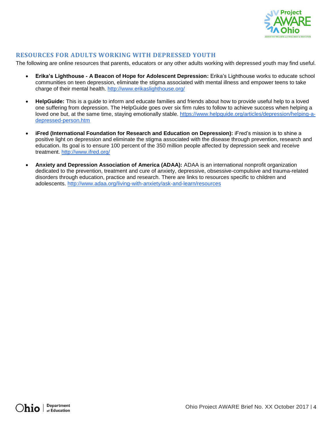

### **RESOURCES FOR ADULTS WORKING WITH DEPRESSED YOUTH**

The following are online resources that parents, educators or any other adults working with depressed youth may find useful.

- **Erika's Lighthouse - A Beacon of Hope for Adolescent Depression:** Erika's Lighthouse works to educate school communities on teen depression, eliminate the stigma associated with mental illness and empower teens to take charge of their mental health.<http://www.erikaslighthouse.org/>
- **HelpGuide:** This is a guide to inform and educate families and friends about how to provide useful help to a loved one suffering from depression. The HelpGuide goes over six firm rules to follow to achieve success when helping a loved one but, at the same time, staying emotionally stable. [https://www.helpguide.org/articles/depression/helping-a](https://www.helpguide.org/articles/depression/helping-a-depressed-person.htm)[depressed-person.htm](https://www.helpguide.org/articles/depression/helping-a-depressed-person.htm)
- **iFred (International Foundation for Research and Education on Depression):** iFred's mission is to shine a positive light on depression and eliminate the stigma associated with the disease through prevention, research and education. Its goal is to ensure 100 percent of the 350 million people affected by depression seek and receive treatment. <http://www.ifred.org/>
- **Anxiety and Depression Association of America (ADAA):** ADAA is an international nonprofit organization dedicated to the prevention, treatment and cure of anxiety, depressive, obsessive-compulsive and trauma-related disorders through education, practice and research. There are links to resources specific to children and adolescents. <http://www.adaa.org/living-with-anxiety/ask-and-learn/resources>